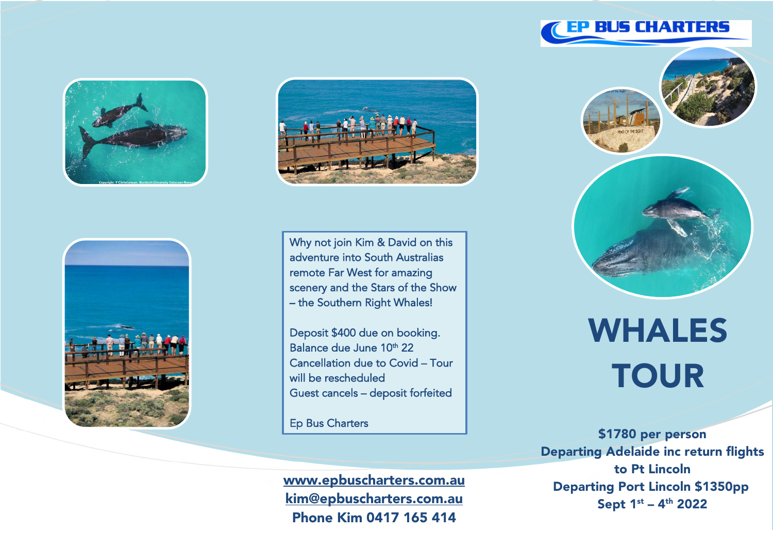







Why not join Kim & David on this adventure into South Australias remote Far West for amazing scenery and the Stars of the Show – the Southern Right Whales!

Deposit \$400 due on booking. Balance due June 10<sup>th</sup> 22 Cancellation due to Covid – Tour will be rescheduled Guest cancels – deposit forfeited

Ep Bus Charters

Ī

www.epbuscharters.com.au kim@epbuscharters.com.au Phone Kim 0417 165 414



WHALES **TOUR** 

\$1780 per person Departing Adelaide inc return flights to Pt Lincoln Departing Port Lincoln \$1350pp Sept  $1^{st}$  –  $4^{th}$  2022